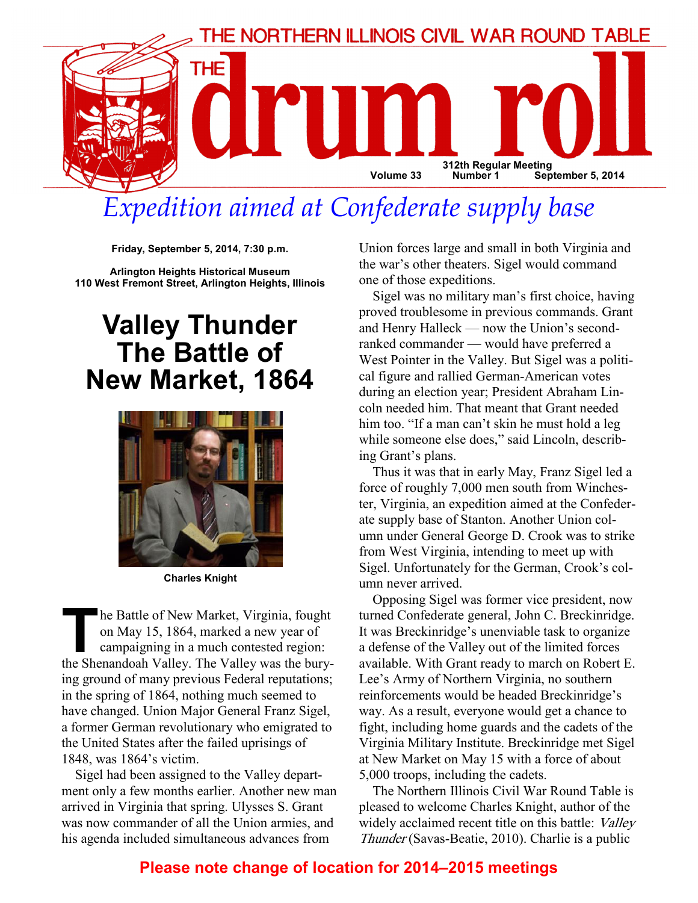

# Expedition aimed at Confederate supply base

Friday, September 5, 2014, 7:30 p.m.

Arlington Heights Historical Museum 110 West Fremont Street, Arlington Heights, Illinois

## Valley Thunder The Battle of New Market, 1864



Charles Knight

The Battle of New Market, Virginia, fought<br>on May 15, 1864, marked a new year of<br>campaigning in a much contested region:<br>the Shenandoah Valley. The Valley was the buryon May 15, 1864, marked a new year of campaigning in a much contested region: the Shenandoah Valley. The Valley was the burying ground of many previous Federal reputations; in the spring of 1864, nothing much seemed to have changed. Union Major General Franz Sigel, a former German revolutionary who emigrated to the United States after the failed uprisings of 1848, was 1864's victim.

Sigel had been assigned to the Valley department only a few months earlier. Another new man arrived in Virginia that spring. Ulysses S. Grant was now commander of all the Union armies, and his agenda included simultaneous advances from

Union forces large and small in both Virginia and the war's other theaters. Sigel would command one of those expeditions.

Sigel was no military man's first choice, having proved troublesome in previous commands. Grant and Henry Halleck — now the Union's secondranked commander — would have preferred a West Pointer in the Valley. But Sigel was a political figure and rallied German-American votes during an election year; President Abraham Lincoln needed him. That meant that Grant needed him too. "If a man can't skin he must hold a leg while someone else does," said Lincoln, describing Grant's plans.

Thus it was that in early May, Franz Sigel led a force of roughly 7,000 men south from Winchester, Virginia, an expedition aimed at the Confederate supply base of Stanton. Another Union column under General George D. Crook was to strike from West Virginia, intending to meet up with Sigel. Unfortunately for the German, Crook's column never arrived.

Opposing Sigel was former vice president, now turned Confederate general, John C. Breckinridge. It was Breckinridge's unenviable task to organize a defense of the Valley out of the limited forces available. With Grant ready to march on Robert E. Lee's Army of Northern Virginia, no southern reinforcements would be headed Breckinridge's way. As a result, everyone would get a chance to fight, including home guards and the cadets of the Virginia Military Institute. Breckinridge met Sigel at New Market on May 15 with a force of about 5,000 troops, including the cadets.

The Northern Illinois Civil War Round Table is pleased to welcome Charles Knight, author of the widely acclaimed recent title on this battle: Valley Thunder (Savas-Beatie, 2010). Charlie is a public

### Please note change of location for 2014–2015 meetings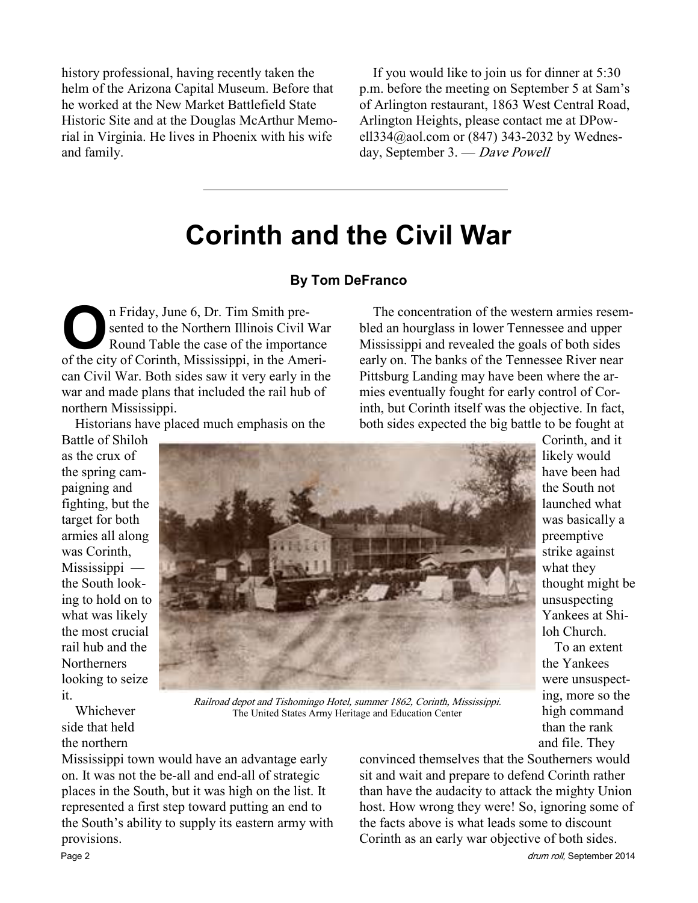history professional, having recently taken the helm of the Arizona Capital Museum. Before that he worked at the New Market Battlefield State Historic Site and at the Douglas McArthur Memorial in Virginia. He lives in Phoenix with his wife and family.

If you would like to join us for dinner at 5:30 p.m. before the meeting on September 5 at Sam's of Arlington restaurant, 1863 West Central Road, Arlington Heights, please contact me at DPowell334@aol.com or (847) 343-2032 by Wednesday, September 3. — Dave Powell

The concentration of the western armies resembled an hourglass in lower Tennessee and upper Mississippi and revealed the goals of both sides early on. The banks of the Tennessee River near Pittsburg Landing may have been where the armies eventually fought for early control of Corinth, but Corinth itself was the objective. In fact, both sides expected the big battle to be fought at

## Corinth and the Civil War

#### By Tom DeFranco

On Friday, June 6, Dr. Tim Smith pre-<br>
sented to the Northern Illinois Civil<br>
Round Table the case of the important<br>
of the city of Corinth Mississippi in the Ameri sented to the Northern Illinois Civil War Round Table the case of the importance of the city of Corinth, Mississippi, in the American Civil War. Both sides saw it very early in the war and made plans that included the rail hub of northern Mississippi.

Historians have placed much emphasis on the

Battle of Shiloh as the crux of the spring campaigning and fighting, but the target for both armies all along was Corinth, Mississippi the South looking to hold on to what was likely the most crucial rail hub and the **Northerners** looking to seize it.

Whichever side that held the northern



Railroad depot and Tishomingo Hotel, summer 1862, Corinth, Mississippi. The United States Army Heritage and Education Center

Mississippi town would have an advantage early on. It was not the be-all and end-all of strategic places in the South, but it was high on the list. It represented a first step toward putting an end to the South's ability to supply its eastern army with provisions.

convinced themselves that the Southerners would sit and wait and prepare to defend Corinth rather than have the audacity to attack the mighty Union host. How wrong they were! So, ignoring some of the facts above is what leads some to discount Corinth as an early war objective of both sides.

Page 2 drum roll, September 2014

To an extent

high command than the rank and file. They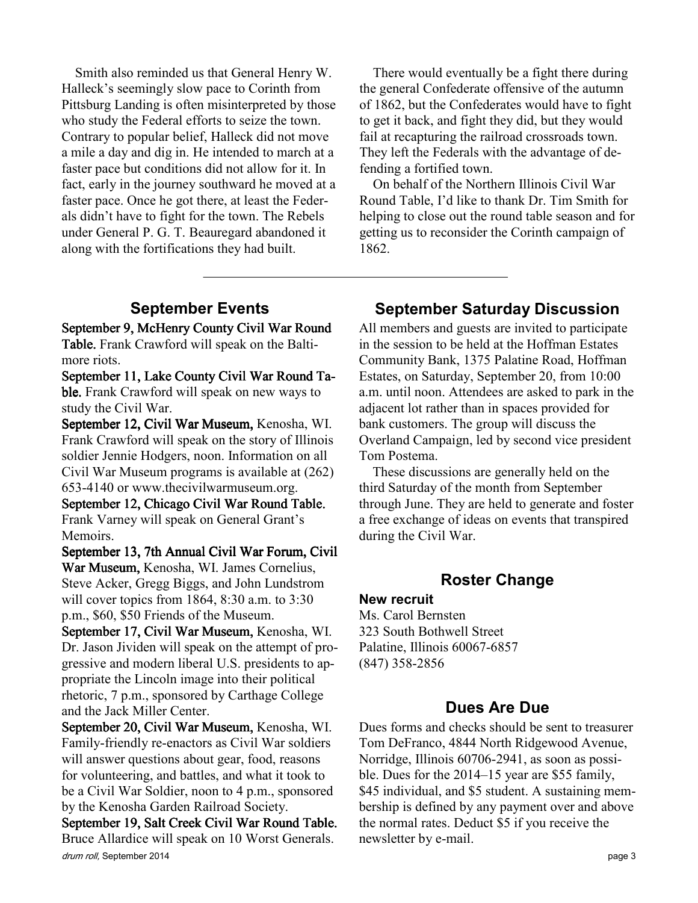Smith also reminded us that General Henry W. Halleck's seemingly slow pace to Corinth from Pittsburg Landing is often misinterpreted by those who study the Federal efforts to seize the town. Contrary to popular belief, Halleck did not move a mile a day and dig in. He intended to march at a faster pace but conditions did not allow for it. In fact, early in the journey southward he moved at a faster pace. Once he got there, at least the Federals didn't have to fight for the town. The Rebels under General P. G. T. Beauregard abandoned it along with the fortifications they had built.

There would eventually be a fight there during the general Confederate offensive of the autumn of 1862, but the Confederates would have to fight to get it back, and fight they did, but they would fail at recapturing the railroad crossroads town. They left the Federals with the advantage of defending a fortified town.

On behalf of the Northern Illinois Civil War Round Table, I'd like to thank Dr. Tim Smith for helping to close out the round table season and for getting us to reconsider the Corinth campaign of 1862.

## September Events

September 9, McHenry County Civil War Round Table. Frank Crawford will speak on the Baltimore riots.

September 11, Lake County Civil War Round Table. Frank Crawford will speak on new ways to study the Civil War.

September 12, Civil War Museum, Kenosha, WI. Frank Crawford will speak on the story of Illinois soldier Jennie Hodgers, noon. Information on all Civil War Museum programs is available at (262) 653-4140 or www.thecivilwarmuseum.org.

September 12, Chicago Civil War Round Table. Frank Varney will speak on General Grant's Memoirs.

September 13, 7th Annual Civil War Forum, Civil War Museum, Kenosha, WI. James Cornelius, Steve Acker, Gregg Biggs, and John Lundstrom will cover topics from 1864, 8:30 a.m. to 3:30 p.m., \$60, \$50 Friends of the Museum.

September 17, Civil War Museum, Kenosha, WI. Dr. Jason Jividen will speak on the attempt of progressive and modern liberal U.S. presidents to appropriate the Lincoln image into their political rhetoric, 7 p.m., sponsored by Carthage College and the Jack Miller Center.

September 20, Civil War Museum, Kenosha, WI. Family-friendly re-enactors as Civil War soldiers will answer questions about gear, food, reasons for volunteering, and battles, and what it took to be a Civil War Soldier, noon to 4 p.m., sponsored by the Kenosha Garden Railroad Society.

drum roll, September 2014 **page 3** September 19, Salt Creek Civil War Round Table. Bruce Allardice will speak on 10 Worst Generals.

## September Saturday Discussion

All members and guests are invited to participate in the session to be held at the Hoffman Estates Community Bank, 1375 Palatine Road, Hoffman Estates, on Saturday, September 20, from 10:00 a.m. until noon. Attendees are asked to park in the adjacent lot rather than in spaces provided for bank customers. The group will discuss the Overland Campaign, led by second vice president Tom Postema.

These discussions are generally held on the third Saturday of the month from September through June. They are held to generate and foster a free exchange of ideas on events that transpired during the Civil War.

### Roster Change

#### New recruit

Ms. Carol Bernsten 323 South Bothwell Street Palatine, Illinois 60067-6857 (847) 358-2856

## Dues Are Due

Dues forms and checks should be sent to treasurer Tom DeFranco, 4844 North Ridgewood Avenue, Norridge, Illinois 60706-2941, as soon as possible. Dues for the 2014–15 year are \$55 family, \$45 individual, and \$5 student. A sustaining membership is defined by any payment over and above the normal rates. Deduct \$5 if you receive the newsletter by e-mail.